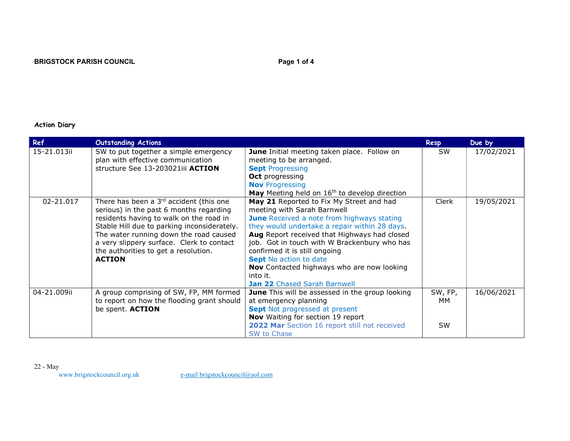# Action Diary

| Ref         | <b>Outstanding Actions</b>                                                                                                                                                                                                                                                                                                     |                                                                                                                                                                                                                                                                                                                                                                                                                                           | Resp                       | Due by     |
|-------------|--------------------------------------------------------------------------------------------------------------------------------------------------------------------------------------------------------------------------------------------------------------------------------------------------------------------------------|-------------------------------------------------------------------------------------------------------------------------------------------------------------------------------------------------------------------------------------------------------------------------------------------------------------------------------------------------------------------------------------------------------------------------------------------|----------------------------|------------|
| 15-21.013ii | SW to put together a simple emergency<br>plan with effective communication<br>structure See 13-203021iii ACTION                                                                                                                                                                                                                | June Initial meeting taken place. Follow on<br>meeting to be arranged.<br><b>Sept Progressing</b><br><b>Oct</b> progressing<br><b>Nov</b> Progressing<br>May Meeting held on 16 <sup>th</sup> to develop direction                                                                                                                                                                                                                        | <b>SW</b>                  | 17/02/2021 |
| 02-21.017   | There has been a $3rd$ accident (this one<br>serious) in the past 6 months regarding<br>residents having to walk on the road in<br>Stable Hill due to parking inconsiderately.<br>The water running down the road caused<br>a very slippery surface. Clerk to contact<br>the authorities to get a resolution.<br><b>ACTION</b> | May 21 Reported to Fix My Street and had<br>meeting with Sarah Barnwell<br><b>June</b> Received a note from highways stating<br>they would undertake a repair within 28 days.<br>Aug Report received that Highways had closed<br>job. Got in touch with W Brackenbury who has<br>confirmed it is still ongoing<br><b>Sept No action to date</b><br>Nov Contacted highways who are now looking<br>into it.<br>Jan 22 Chased Sarah Barnwell | Clerk                      | 19/05/2021 |
| 04-21.009ii | A group comprising of SW, FP, MM formed<br>to report on how the flooding grant should<br>be spent. ACTION                                                                                                                                                                                                                      | June This will be assessed in the group looking<br>at emergency planning<br>Sept Not progressed at present<br>Nov Waiting for section 19 report<br>2022 Mar Section 16 report still not received<br>SW to Chase                                                                                                                                                                                                                           | SW, FP,<br>мм<br><b>SW</b> | 16/06/2021 |

22 - May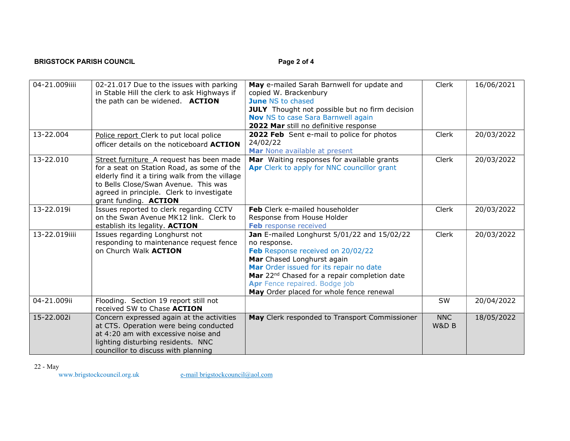# BRIGSTOCK PARISH COUNCIL **Example 2** of 4

| 04-21.009iiii | 02-21.017 Due to the issues with parking<br>in Stable Hill the clerk to ask Highways if<br>the path can be widened. ACTION                                                                                                                             | May e-mailed Sarah Barnwell for update and<br>copied W. Brackenbury<br><b>June NS to chased</b><br><b>JULY</b> Thought not possible but no firm decision<br><b>Nov</b> NS to case Sara Barnwell again<br>2022 Mar still no definitive response                                                                     | Clerk               | 16/06/2021 |
|---------------|--------------------------------------------------------------------------------------------------------------------------------------------------------------------------------------------------------------------------------------------------------|--------------------------------------------------------------------------------------------------------------------------------------------------------------------------------------------------------------------------------------------------------------------------------------------------------------------|---------------------|------------|
| 13-22.004     | Police report Clerk to put local police<br>officer details on the noticeboard ACTION                                                                                                                                                                   | 2022 Feb Sent e-mail to police for photos<br>24/02/22<br>Mar None available at present                                                                                                                                                                                                                             | Clerk               | 20/03/2022 |
| 13-22.010     | Street furniture A request has been made<br>for a seat on Station Road, as some of the<br>elderly find it a tiring walk from the village<br>to Bells Close/Swan Avenue. This was<br>agreed in principle. Clerk to investigate<br>grant funding. ACTION | Mar Waiting responses for available grants<br>Apr Clerk to apply for NNC councillor grant                                                                                                                                                                                                                          | Clerk               | 20/03/2022 |
| 13-22.019i    | Issues reported to clerk regarding CCTV<br>on the Swan Avenue MK12 link. Clerk to<br>establish its legality. ACTION                                                                                                                                    | Feb Clerk e-mailed householder<br>Response from House Holder<br>Feb response received                                                                                                                                                                                                                              | Clerk               | 20/03/2022 |
| 13-22.019iiii | Issues regarding Longhurst not<br>responding to maintenance request fence<br>on Church Walk ACTION                                                                                                                                                     | Jan E-mailed Longhurst 5/01/22 and 15/02/22<br>no response.<br>Feb Response received on 20/02/22<br>Mar Chased Longhurst again<br>Mar Order issued for its repair no date<br>Mar 22 <sup>nd</sup> Chased for a repair completion date<br>Apr Fence repaired. Bodge job<br>May Order placed for whole fence renewal | Clerk               | 20/03/2022 |
| 04-21.009ii   | Flooding. Section 19 report still not<br>received SW to Chase ACTION                                                                                                                                                                                   |                                                                                                                                                                                                                                                                                                                    | SW                  | 20/04/2022 |
| 15-22.002i    | Concern expressed again at the activities<br>at CTS. Operation were being conducted<br>at 4:20 am with excessive noise and<br>lighting disturbing residents. NNC<br>councillor to discuss with planning                                                | May Clerk responded to Transport Commissioner                                                                                                                                                                                                                                                                      | <b>NNC</b><br>W&D B | 18/05/2022 |

22 - May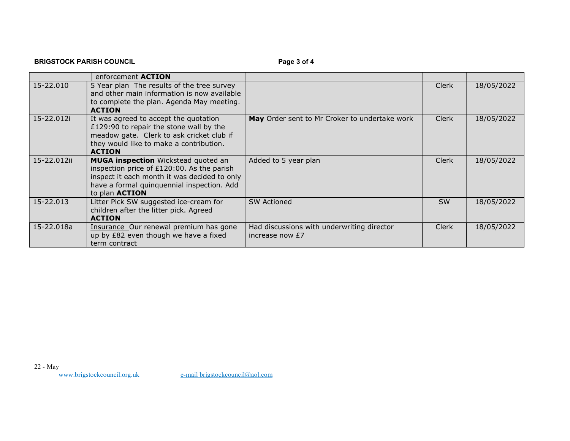|               | enforcement <b>ACTION</b>                                                                                                                                                                                       |                                                               |              |            |
|---------------|-----------------------------------------------------------------------------------------------------------------------------------------------------------------------------------------------------------------|---------------------------------------------------------------|--------------|------------|
| $15 - 22.010$ | 5 Year plan The results of the tree survey<br>and other main information is now available<br>to complete the plan. Agenda May meeting.<br><b>ACTION</b>                                                         |                                                               | <b>Clerk</b> | 18/05/2022 |
| 15-22.012i    | It was agreed to accept the quotation<br>£129:90 to repair the stone wall by the<br>meadow gate. Clerk to ask cricket club if<br>they would like to make a contribution.<br><b>ACTION</b>                       | May Order sent to Mr Croker to undertake work                 | <b>Clerk</b> | 18/05/2022 |
| 15-22.012ii   | <b>MUGA inspection</b> Wickstead quoted an<br>inspection price of £120:00. As the parish<br>inspect it each month it was decided to only<br>have a formal quinquennial inspection. Add<br>to plan <b>ACTION</b> | Added to 5 year plan                                          | Clerk        | 18/05/2022 |
| 15-22.013     | Litter Pick SW suggested ice-cream for<br>children after the litter pick. Agreed<br><b>ACTION</b>                                                                                                               | <b>SW Actioned</b>                                            | <b>SW</b>    | 18/05/2022 |
| 15-22.018a    | Insurance Our renewal premium has gone<br>up by £82 even though we have a fixed<br>term contract                                                                                                                | Had discussions with underwriting director<br>increase now £7 | <b>Clerk</b> | 18/05/2022 |

# BRIGSTOCK PARISH COUNCIL **Example 2** of 4

22 - May